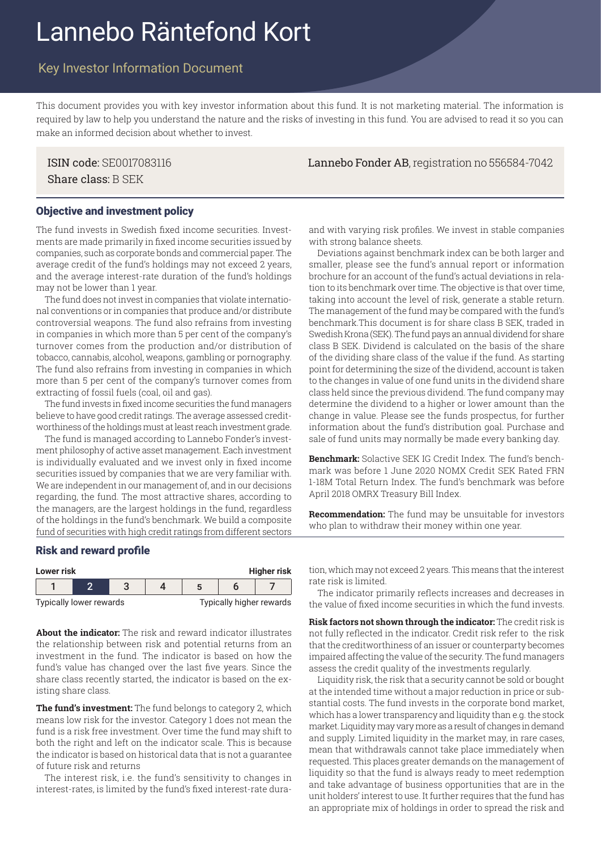# Lannebo Räntefond Kort

## Key Investor Information Document

This document provides you with key investor information about this fund. It is not marketing material. The information is required by law to help you understand the nature and the risks of investing in this fund. You are advised to read it so you can make an informed decision about whether to invest.

Share class: B SEK

ISIN code: SE0017083116 Lannebo Fonder AB, registration no 556584-7042

#### Objective and investment policy

The fund invests in Swedish fixed income securities. Investments are made primarily in fixed income securities issued by companies, such as corporate bonds and commercial paper. The average credit of the fund's holdings may not exceed 2 years, and the average interest-rate duration of the fund's holdings may not be lower than 1 year.

The fund does not invest in companies that violate international conventions or in companies that produce and/or distribute controversial weapons. The fund also refrains from investing in companies in which more than 5 per cent of the company's turnover comes from the production and/or distribution of tobacco, cannabis, alcohol, weapons, gambling or pornography. The fund also refrains from investing in companies in which more than 5 per cent of the company's turnover comes from extracting of fossil fuels (coal, oil and gas).

The fund invests in fixed income securities the fund managers believe to have good credit ratings. The average assessed creditworthiness of the holdings must at least reach investment grade.

The fund is managed according to Lannebo Fonder's investment philosophy of active asset management. Each investment is individually evaluated and we invest only in fixed income securities issued by companies that we are very familiar with. We are independent in our management of, and in our decisions regarding, the fund. The most attractive shares, according to the managers, are the largest holdings in the fund, regardless of the holdings in the fund's benchmark. We build a composite fund of securities with high credit ratings from different sectors and with varying risk profiles. We invest in stable companies with strong balance sheets.

Deviations against benchmark index can be both larger and smaller, please see the fund's annual report or information brochure for an account of the fund's actual deviations in relation to its benchmark over time. The objective is that over time, taking into account the level of risk, generate a stable return. The management of the fund may be compared with the fund's benchmark.This document is for share class B SEK, traded in Swedish Krona (SEK). The fund pays an annual dividend for share class B SEK. Dividend is calculated on the basis of the share of the dividing share class of the value if the fund. As starting point for determining the size of the dividend, account is taken to the changes in value of one fund units in the dividend share class held since the previous dividend. The fund company may determine the dividend to a higher or lower amount than the change in value. Please see the funds prospectus, for further information about the fund's distribution goal. Purchase and sale of fund units may normally be made every banking day.

**Benchmark:** Solactive SEK IG Credit Index. The fund's benchmark was before 1 June 2020 NOMX Credit SEK Rated FRN 1-18M Total Return Index. The fund's benchmark was before April 2018 OMRX Treasury Bill Index.

**Recommendation:** The fund may be unsuitable for investors who plan to withdraw their money within one year.

#### Risk and reward profile

| <b>Higher risk</b><br>Lower risk |  |  |  |                          |  |  |  |
|----------------------------------|--|--|--|--------------------------|--|--|--|
|                                  |  |  |  |                          |  |  |  |
| Typically lower rewards          |  |  |  | Typically higher rewards |  |  |  |

**About the indicator:** The risk and reward indicator illustrates the relationship between risk and potential returns from an investment in the fund. The indicator is based on how the fund's value has changed over the last five years. Since the share class recently started, the indicator is based on the existing share class.

**The fund's investment:** The fund belongs to category 2, which means low risk for the investor. Category 1 does not mean the fund is a risk free investment. Over time the fund may shift to both the right and left on the indicator scale. This is because the indicator is based on historical data that is not a guarantee of future risk and returns

The interest risk, i.e. the fund's sensitivity to changes in interest-rates, is limited by the fund's fixed interest-rate dura**Lower risk Higher risk** tion, which may not exceed 2 years. This means that the interest rate risk is limited.

The indicator primarily reflects increases and decreases in the value of fixed income securities in which the fund invests.

**Risk factors not shown through the indicator:** The credit risk is not fully reflected in the indicator. Credit risk refer to the risk that the creditworthiness of an issuer or counterparty becomes impaired affecting the value of the security. The fund managers assess the credit quality of the investments regularly.

Liquidity risk, the risk that a security cannot be sold or bought at the intended time without a major reduction in price or substantial costs. The fund invests in the corporate bond market, which has a lower transparency and liquidity than e.g. the stock market. Liquidity may vary more as a result of changes in demand and supply. Limited liquidity in the market may, in rare cases, mean that withdrawals cannot take place immediately when requested. This places greater demands on the management of liquidity so that the fund is always ready to meet redemption and take advantage of business opportunities that are in the unit holders' interest to use. It further requires that the fund has an appropriate mix of holdings in order to spread the risk and